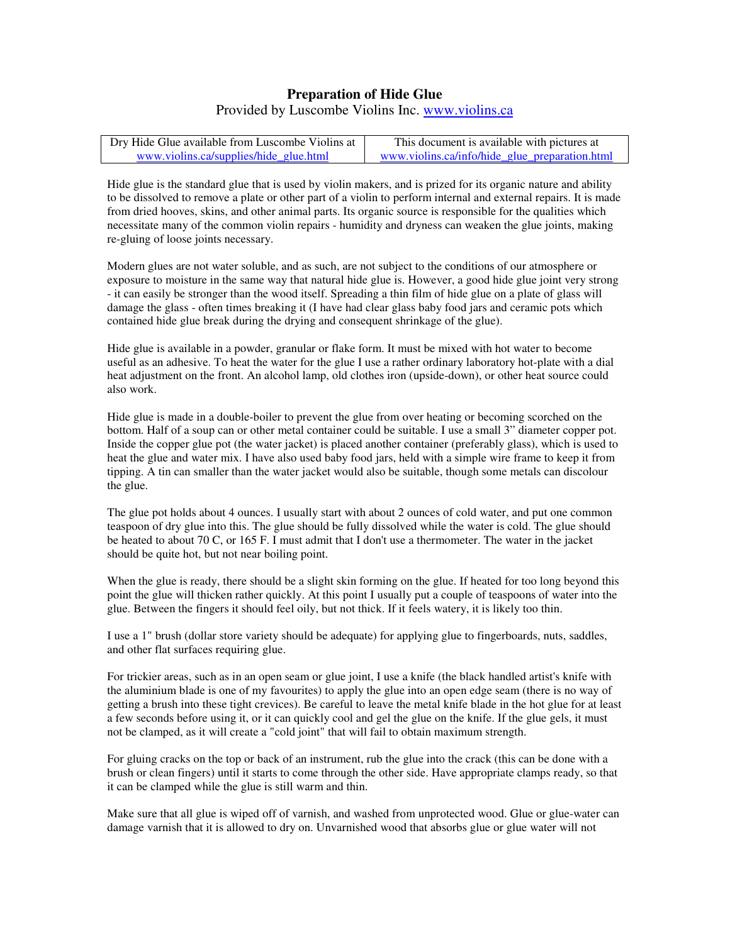## **Preparation of Hide Glue** Provided by Luscombe Violins Inc. www.violins.ca

| Dry Hide Glue available from Luscombe Violins at | This document is available with pictures at    |
|--------------------------------------------------|------------------------------------------------|
| www.violins.ca/supplies/hide glue.html           | www.violins.ca/info/hide glue preparation.html |

Hide glue is the standard glue that is used by violin makers, and is prized for its organic nature and ability to be dissolved to remove a plate or other part of a violin to perform internal and external repairs. It is made from dried hooves, skins, and other animal parts. Its organic source is responsible for the qualities which necessitate many of the common violin repairs - humidity and dryness can weaken the glue joints, making re-gluing of loose joints necessary.

Modern glues are not water soluble, and as such, are not subject to the conditions of our atmosphere or exposure to moisture in the same way that natural hide glue is. However, a good hide glue joint very strong - it can easily be stronger than the wood itself. Spreading a thin film of hide glue on a plate of glass will damage the glass - often times breaking it (I have had clear glass baby food jars and ceramic pots which contained hide glue break during the drying and consequent shrinkage of the glue).

Hide glue is available in a powder, granular or flake form. It must be mixed with hot water to become useful as an adhesive. To heat the water for the glue I use a rather ordinary laboratory hot-plate with a dial heat adjustment on the front. An alcohol lamp, old clothes iron (upside-down), or other heat source could also work.

Hide glue is made in a double-boiler to prevent the glue from over heating or becoming scorched on the bottom. Half of a soup can or other metal container could be suitable. I use a small 3" diameter copper pot. Inside the copper glue pot (the water jacket) is placed another container (preferably glass), which is used to heat the glue and water mix. I have also used baby food jars, held with a simple wire frame to keep it from tipping. A tin can smaller than the water jacket would also be suitable, though some metals can discolour the glue.

The glue pot holds about 4 ounces. I usually start with about 2 ounces of cold water, and put one common teaspoon of dry glue into this. The glue should be fully dissolved while the water is cold. The glue should be heated to about 70 C, or 165 F. I must admit that I don't use a thermometer. The water in the jacket should be quite hot, but not near boiling point.

When the glue is ready, there should be a slight skin forming on the glue. If heated for too long beyond this point the glue will thicken rather quickly. At this point I usually put a couple of teaspoons of water into the glue. Between the fingers it should feel oily, but not thick. If it feels watery, it is likely too thin.

I use a 1" brush (dollar store variety should be adequate) for applying glue to fingerboards, nuts, saddles, and other flat surfaces requiring glue.

For trickier areas, such as in an open seam or glue joint, I use a knife (the black handled artist's knife with the aluminium blade is one of my favourites) to apply the glue into an open edge seam (there is no way of getting a brush into these tight crevices). Be careful to leave the metal knife blade in the hot glue for at least a few seconds before using it, or it can quickly cool and gel the glue on the knife. If the glue gels, it must not be clamped, as it will create a "cold joint" that will fail to obtain maximum strength.

For gluing cracks on the top or back of an instrument, rub the glue into the crack (this can be done with a brush or clean fingers) until it starts to come through the other side. Have appropriate clamps ready, so that it can be clamped while the glue is still warm and thin.

Make sure that all glue is wiped off of varnish, and washed from unprotected wood. Glue or glue-water can damage varnish that it is allowed to dry on. Unvarnished wood that absorbs glue or glue water will not